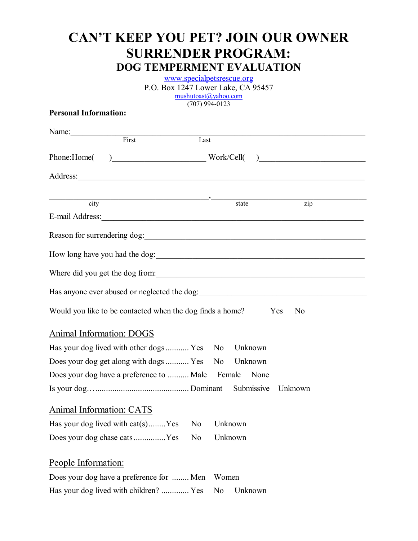# **CAN'T KEEP YOU PET? JOIN OUR OWNER SURRENDER PROGRAM: DOG TEMPERMENT EVALUATION**

www.specialpetsrescue.org P.O. Box 1247 Lower Lake, CA 95457 mushutoast@yahoo.com (707) 994-0123

#### **Personal Information:**

| Name: First                     |                                                               |      |         |         |                                                                                                                                                                                                                                      |
|---------------------------------|---------------------------------------------------------------|------|---------|---------|--------------------------------------------------------------------------------------------------------------------------------------------------------------------------------------------------------------------------------------|
|                                 |                                                               | Last |         |         |                                                                                                                                                                                                                                      |
| Phone:Home(                     |                                                               |      |         |         | ) Work/Cell( )                                                                                                                                                                                                                       |
|                                 |                                                               |      |         |         | Address: <u>example and the contract of the contract of the contract of the contract of the contract of the contract of the contract of the contract of the contract of the contract of the contract of the contract of the cont</u> |
| city                            |                                                               |      |         | state   | $\overline{zip}$                                                                                                                                                                                                                     |
|                                 |                                                               |      |         |         | E-mail Address:                                                                                                                                                                                                                      |
|                                 |                                                               |      |         |         |                                                                                                                                                                                                                                      |
|                                 |                                                               |      |         |         |                                                                                                                                                                                                                                      |
|                                 |                                                               |      |         |         | Where did you get the dog from:                                                                                                                                                                                                      |
|                                 |                                                               |      |         |         |                                                                                                                                                                                                                                      |
|                                 | Would you like to be contacted when the dog finds a home? Yes |      |         |         | N <sub>0</sub>                                                                                                                                                                                                                       |
| Animal Information: DOGS        |                                                               |      |         |         |                                                                                                                                                                                                                                      |
|                                 | Has your dog lived with other dogs Yes No                     |      |         | Unknown |                                                                                                                                                                                                                                      |
|                                 | Does your dog get along with dogs  Yes No Unknown             |      |         |         |                                                                                                                                                                                                                                      |
|                                 | Does your dog have a preference to  Male Female None          |      |         |         |                                                                                                                                                                                                                                      |
|                                 |                                                               |      |         |         | Unknown                                                                                                                                                                                                                              |
| <b>Animal Information: CATS</b> |                                                               |      |         |         |                                                                                                                                                                                                                                      |
|                                 | Has your dog lived with cat(s)Yes No                          |      | Unknown |         |                                                                                                                                                                                                                                      |
|                                 | Does your dog chase catsYes                                   | No   | Unknown |         |                                                                                                                                                                                                                                      |
| People Information:             |                                                               |      |         |         |                                                                                                                                                                                                                                      |
|                                 | Does your dog have a preference for  Men                      |      | Women   |         |                                                                                                                                                                                                                                      |
|                                 | Has your dog lived with children?  Yes                        |      | No      | Unknown |                                                                                                                                                                                                                                      |